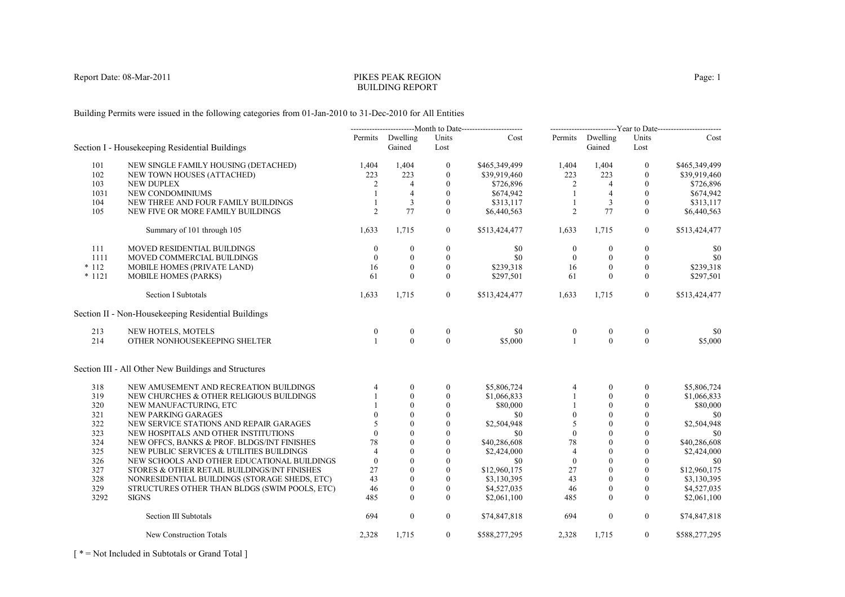# PIKES PEAK REGIONBUILDING REPORT

Building Permits were issued in the following categories from 01-Jan-2010 to 31-Dec-2010 for All Entities

|          |                                                      | --------------------------Month to Date------------------------ |                            | -------------------------Year to Date------------------------ |               |                  |                            |                  |               |
|----------|------------------------------------------------------|-----------------------------------------------------------------|----------------------------|---------------------------------------------------------------|---------------|------------------|----------------------------|------------------|---------------|
|          | Section I - Housekeeping Residential Buildings       |                                                                 | Permits Dwelling<br>Gained | Units<br>Lost                                                 | Cost          |                  | Permits Dwelling<br>Gained | Units<br>Lost    | Cost          |
| 101      | NEW SINGLE FAMILY HOUSING (DETACHED)                 | 1,404                                                           | 1,404                      | $\bf{0}$                                                      | \$465,349,499 | 1,404            | 1,404                      | $\boldsymbol{0}$ | \$465,349,499 |
| 102      | NEW TOWN HOUSES (ATTACHED)                           | 223                                                             | 223                        | $\boldsymbol{0}$                                              | \$39,919,460  | 223              | 223                        | $\Omega$         | \$39,919,460  |
| 103      | <b>NEW DUPLEX</b>                                    | 2                                                               | $\overline{4}$             | $\mathbf{0}$                                                  | \$726,896     | $\overline{2}$   | $\overline{4}$             | $\Omega$         | \$726,896     |
| 1031     | NEW CONDOMINIUMS                                     |                                                                 | $\overline{4}$             | $\mathbf{0}$                                                  | \$674,942     | -1               | $\overline{4}$             | $\theta$         | \$674,942     |
| 104      | NEW THREE AND FOUR FAMILY BUILDINGS                  |                                                                 | 3                          | $\mathbf{0}$                                                  | \$313,117     | $\mathbf{1}$     | 3                          | $\mathbf{0}$     | \$313,117     |
| 105      | NEW FIVE OR MORE FAMILY BUILDINGS                    | $\overline{2}$                                                  | 77                         | $\theta$                                                      | \$6,440,563   | 2                | 77                         | $\theta$         | \$6,440,563   |
|          | Summary of 101 through 105                           | 1,633                                                           | 1,715                      | $\overline{0}$                                                | \$513,424,477 | 1,633            | 1,715                      | $\mathbf{0}$     | \$513,424,477 |
|          |                                                      |                                                                 |                            |                                                               |               |                  |                            |                  |               |
| 111      | MOVED RESIDENTIAL BUILDINGS                          | $\mathbf{0}$                                                    | $\boldsymbol{0}$           | $\boldsymbol{0}$                                              | \$0           | $\boldsymbol{0}$ | $\bf{0}$                   | $\boldsymbol{0}$ | \$0           |
| 1111     | MOVED COMMERCIAL BUILDINGS                           | $\mathbf{0}$                                                    | $\mathbf{0}$               | $\mathbf{0}$                                                  | \$0           | $\mathbf{0}$     | $\mathbf{0}$               | $\boldsymbol{0}$ | \$0           |
| $*112$   | MOBILE HOMES (PRIVATE LAND)                          | 16                                                              | $\theta$                   | $\mathbf{0}$                                                  | \$239,318     | 16               | $\mathbf{0}$               | $\mathbf{0}$     | \$239,318     |
| $* 1121$ | <b>MOBILE HOMES (PARKS)</b>                          | 61                                                              | $\theta$                   | $\mathbf{0}$                                                  | \$297,501     | 61               | $\theta$                   | $\mathbf{0}$     | \$297,501     |
|          | <b>Section I Subtotals</b>                           | 1,633                                                           | 1,715                      | $\overline{0}$                                                | \$513,424,477 | 1,633            | 1,715                      | $\overline{0}$   | \$513,424,477 |
|          | Section II - Non-Housekeeping Residential Buildings  |                                                                 |                            |                                                               |               |                  |                            |                  |               |
| 213      | NEW HOTELS, MOTELS                                   | $\boldsymbol{0}$                                                | $\boldsymbol{0}$           | $\boldsymbol{0}$                                              | \$0           | $\boldsymbol{0}$ | $\boldsymbol{0}$           | $\boldsymbol{0}$ | \$0           |
| 214      | OTHER NONHOUSEKEEPING SHELTER                        |                                                                 | $\theta$                   | $\theta$                                                      | \$5,000       | $\overline{1}$   | $\theta$                   | $\theta$         | \$5,000       |
|          | Section III - All Other New Buildings and Structures |                                                                 |                            |                                                               |               |                  |                            |                  |               |
| 318      | NEW AMUSEMENT AND RECREATION BUILDINGS               | 4                                                               | $\mathbf{0}$               | $\boldsymbol{0}$                                              | \$5,806,724   | 4                | $\mathbf{0}$               | $\mathbf{0}$     | \$5,806,724   |
| 319      | NEW CHURCHES & OTHER RELIGIOUS BUILDINGS             |                                                                 | $\theta$                   | $\mathbf{0}$                                                  | \$1,066,833   |                  | $\mathbf{0}$               | $\theta$         | \$1,066,833   |
| 320      | NEW MANUFACTURING, ETC                               |                                                                 | $\theta$                   | $\boldsymbol{0}$                                              | \$80,000      |                  | $\mathbf{0}$               | $\mathbf{0}$     | \$80,000      |
| 321      | <b>NEW PARKING GARAGES</b>                           |                                                                 | $\theta$                   | $\overline{0}$                                                | \$0           | $\mathbf{0}$     | $\theta$                   | $\mathbf{0}$     | \$0           |
| 322      | NEW SERVICE STATIONS AND REPAIR GARAGES              |                                                                 | $\Omega$                   | $\theta$                                                      | \$2,504,948   | 5                | $\Omega$                   | $\theta$         | \$2,504,948   |
| 323      | NEW HOSPITALS AND OTHER INSTITUTIONS                 | $\theta$                                                        | $\theta$                   | $\mathbf{0}$                                                  | -\$0          | $\overline{0}$   | $\theta$                   | $\Omega$         | \$0           |
| 324      | NEW OFFCS, BANKS & PROF. BLDGS/INT FINISHES          | 78                                                              | $\mathbf{0}$               | $\mathbf{0}$                                                  | \$40,286,608  | 78               | $\mathbf{0}$               | $\theta$         | \$40,286,608  |
| 325      | NEW PUBLIC SERVICES & UTILITIES BUILDINGS            | 4                                                               | $\theta$                   | $\mathbf{0}$                                                  | \$2,424,000   | $\overline{4}$   | $\theta$                   | $\theta$         | \$2,424,000   |
| 326      | NEW SCHOOLS AND OTHER EDUCATIONAL BUILDINGS          | $\mathbf{0}$                                                    | $\overline{0}$             | $\boldsymbol{0}$                                              | \$0           | $\mathbf{0}$     | $\mathbf{0}$               | $\theta$         | \$0           |
| 327      | STORES & OTHER RETAIL BUILDINGS/INT FINISHES         | 27                                                              | $\theta$                   | $\mathbf{0}$                                                  | \$12,960,175  | 27               | $\theta$                   | $\theta$         | \$12,960,175  |
| 328      | NONRESIDENTIAL BUILDINGS (STORAGE SHEDS, ETC)        | 43                                                              | $\theta$                   | $\mathbf{0}$                                                  | \$3,130,395   | 43               | $\theta$                   | $\Omega$         | \$3,130,395   |
| 329      | STRUCTURES OTHER THAN BLDGS (SWIM POOLS, ETC)        | 46                                                              | $\mathbf{0}$               | $\boldsymbol{0}$                                              | \$4,527,035   | 46               | $\mathbf{0}$               | $\mathbf{0}$     | \$4,527,035   |
| 3292     | <b>SIGNS</b>                                         | 485                                                             | $\theta$                   | $\theta$                                                      | \$2,061,100   | 485              | $\theta$                   | $\theta$         | \$2,061,100   |
|          | Section III Subtotals                                | 694                                                             | $\boldsymbol{0}$           | $\overline{0}$                                                | \$74,847,818  | 694              | $\boldsymbol{0}$           | $\mathbf{0}$     | \$74,847,818  |
|          | New Construction Totals                              | 2,328                                                           | 1,715                      | $\overline{0}$                                                | \$588,277,295 | 2,328            | 1,715                      | $\overline{0}$   | \$588,277,295 |

[ \* = Not Included in Subtotals or Grand Total ]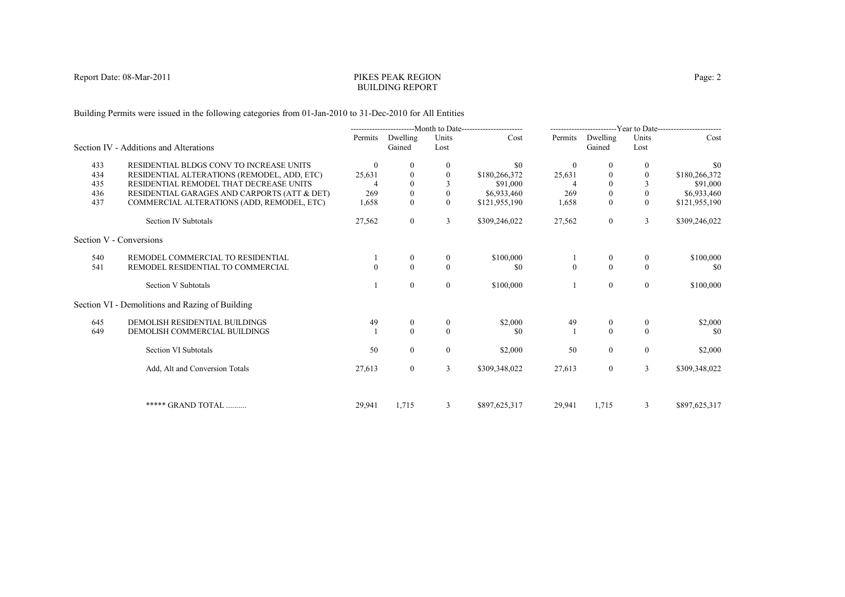## PIKES PEAK REGIONBUILDING REPORT

Building Permits were issued in the following categories from 01-Jan-2010 to 31-Dec-2010 for All Entities

|     |                                                 | --------------------------Month to Date----------------------- |                    | -------------------------Year to Date------------------------ |               |              |                    |                |               |
|-----|-------------------------------------------------|----------------------------------------------------------------|--------------------|---------------------------------------------------------------|---------------|--------------|--------------------|----------------|---------------|
|     | Section IV - Additions and Alterations          | Permits                                                        | Dwelling<br>Gained | Units<br>Lost                                                 | Cost          | Permits      | Dwelling<br>Gained | Units<br>Lost  | Cost          |
| 433 | RESIDENTIAL BLDGS CONV TO INCREASE UNITS        | $\theta$                                                       | $\Omega$           | $\mathbf{0}$                                                  | \$0           | $\theta$     | 0                  | $\bf{0}$       | \$0           |
| 434 | RESIDENTIAL ALTERATIONS (REMODEL, ADD, ETC)     | 25,631                                                         | $\Omega$           |                                                               | \$180,266,372 | 25,631       |                    |                | \$180,266,372 |
| 435 | RESIDENTIAL REMODEL THAT DECREASE UNITS         |                                                                | $\Omega$           |                                                               | \$91,000      |              | $\Omega$           |                | \$91,000      |
| 436 | RESIDENTIAL GARAGES AND CARPORTS (ATT & DET)    | 269                                                            | $\mathbf{0}$       | $\theta$                                                      | \$6,933,460   | 269          | $\boldsymbol{0}$   | $\mathbf{0}$   | \$6,933,460   |
| 437 | COMMERCIAL ALTERATIONS (ADD, REMODEL, ETC)      | 1,658                                                          | $\mathbf{0}$       | $\theta$                                                      | \$121,955,190 | 1,658        | $\Omega$           | $\theta$       | \$121,955,190 |
|     | Section IV Subtotals                            | 27,562                                                         | $\overline{0}$     | 3                                                             | \$309,246,022 | 27,562       | $\overline{0}$     | 3              | \$309,246,022 |
|     | Section V - Conversions                         |                                                                |                    |                                                               |               |              |                    |                |               |
| 540 | REMODEL COMMERCIAL TO RESIDENTIAL               |                                                                | $\theta$           | $\mathbf{0}$                                                  | \$100,000     |              | $\mathbf{0}$       | $\bf{0}$       | \$100,000     |
| 541 | REMODEL RESIDENTIAL TO COMMERCIAL               |                                                                | $\Omega$           | $\theta$                                                      | \$0           | $\mathbf{0}$ | $\theta$           | $\theta$       | \$0           |
|     | Section V Subtotals                             |                                                                | $\Omega$           | $\mathbf{0}$                                                  | \$100,000     |              | $\overline{0}$     | $\overline{0}$ | \$100,000     |
|     | Section VI - Demolitions and Razing of Building |                                                                |                    |                                                               |               |              |                    |                |               |
| 645 | DEMOLISH RESIDENTIAL BUILDINGS                  | 49                                                             | $\mathbf{0}$       | $\theta$                                                      | \$2,000       | 49           | $\mathbf{0}$       | $\overline{0}$ | \$2,000       |
| 649 | DEMOLISH COMMERCIAL BUILDINGS                   |                                                                | $\Omega$           | $\theta$                                                      | \$0           |              | $\theta$           | $\Omega$       | \$0           |
|     | Section VI Subtotals                            | 50                                                             | $\theta$           | $\overline{0}$                                                | \$2,000       | 50           | $\overline{0}$     | $\overline{0}$ | \$2,000       |
|     | Add, Alt and Conversion Totals                  | 27,613                                                         | $\overline{0}$     | 3                                                             | \$309,348,022 | 27,613       | $\overline{0}$     | $\overline{3}$ | \$309,348,022 |
|     |                                                 |                                                                |                    |                                                               |               |              |                    |                |               |
|     | ***** GRAND TOTAL                               | 29,941                                                         | 1,715              | 3                                                             | \$897,625,317 | 29,941       | 1,715              | 3              | \$897,625,317 |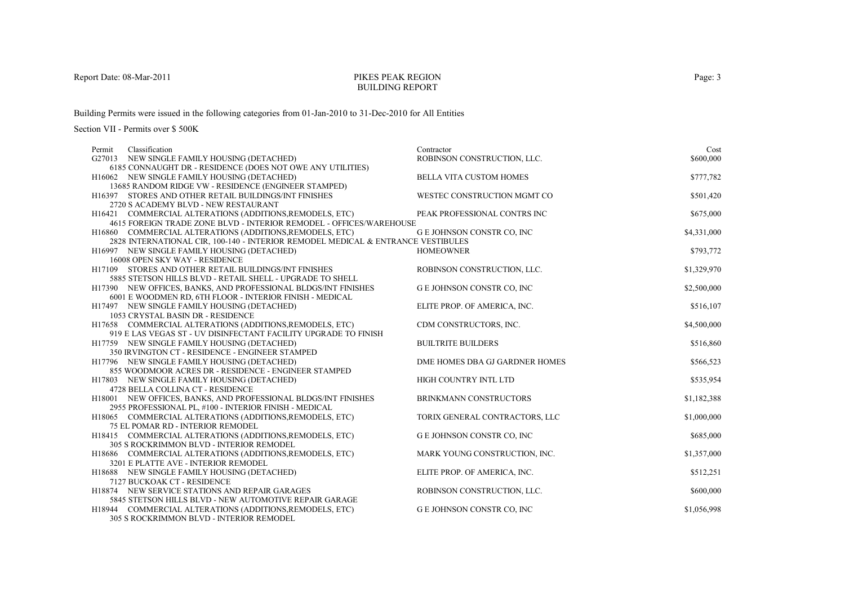## PIKES PEAK REGIONBUILDING REPORT

Building Permits were issued in the following categories from 01-Jan-2010 to 31-Dec-2010 for All Entities

| Classification<br>Permit                                                                                                        | Contractor                        | Cost        |
|---------------------------------------------------------------------------------------------------------------------------------|-----------------------------------|-------------|
| G27013 NEW SINGLE FAMILY HOUSING (DETACHED)                                                                                     | ROBINSON CONSTRUCTION, LLC.       | \$600,000   |
| 6185 CONNAUGHT DR - RESIDENCE (DOES NOT OWE ANY UTILITIES)                                                                      |                                   |             |
| H16062 NEW SINGLE FAMILY HOUSING (DETACHED)                                                                                     | <b>BELLA VITA CUSTOM HOMES</b>    | \$777,782   |
| 13685 RANDOM RIDGE VW - RESIDENCE (ENGINEER STAMPED)                                                                            |                                   |             |
| H16397 STORES AND OTHER RETAIL BUILDINGS/INT FINISHES                                                                           | WESTEC CONSTRUCTION MGMT CO       | \$501,420   |
| 2720 S ACADEMY BLVD - NEW RESTAURANT                                                                                            |                                   |             |
| H16421 COMMERCIAL ALTERATIONS (ADDITIONS, REMODELS, ETC)                                                                        | PEAK PROFESSIONAL CONTRS INC      | \$675,000   |
| 4615 FOREIGN TRADE ZONE BLVD - INTERIOR REMODEL - OFFICES/WAREHOUSE<br>H16860 COMMERCIAL ALTERATIONS (ADDITIONS, REMODELS, ETC) | G E JOHNSON CONSTR CO, INC        | \$4,331,000 |
| 2828 INTERNATIONAL CIR, 100-140 - INTERIOR REMODEL MEDICAL & ENTRANCE VESTIBULES                                                |                                   |             |
| H16997 NEW SINGLE FAMILY HOUSING (DETACHED)                                                                                     | <b>HOMEOWNER</b>                  | \$793,772   |
| 16008 OPEN SKY WAY - RESIDENCE                                                                                                  |                                   |             |
| H17109 STORES AND OTHER RETAIL BUILDINGS/INT FINISHES                                                                           | ROBINSON CONSTRUCTION, LLC.       | \$1,329,970 |
| 5885 STETSON HILLS BLVD - RETAIL SHELL - UPGRADE TO SHELL                                                                       |                                   |             |
| H17390 NEW OFFICES, BANKS, AND PROFESSIONAL BLDGS/INT FINISHES                                                                  | <b>GE JOHNSON CONSTR CO, INC</b>  | \$2,500,000 |
| 6001 E WOODMEN RD, 6TH FLOOR - INTERIOR FINISH - MEDICAL                                                                        |                                   |             |
| H17497 NEW SINGLE FAMILY HOUSING (DETACHED)                                                                                     | ELITE PROP. OF AMERICA, INC.      | \$516,107   |
| 1053 CRYSTAL BASIN DR - RESIDENCE                                                                                               |                                   |             |
| H17658 COMMERCIAL ALTERATIONS (ADDITIONS, REMODELS, ETC)                                                                        | CDM CONSTRUCTORS, INC.            | \$4,500,000 |
| 919 E LAS VEGAS ST - UV DISINFECTANT FACILITY UPGRADE TO FINISH                                                                 |                                   |             |
| H17759 NEW SINGLE FAMILY HOUSING (DETACHED)                                                                                     | <b>BUILTRITE BUILDERS</b>         | \$516,860   |
| 350 IRVINGTON CT - RESIDENCE - ENGINEER STAMPED                                                                                 |                                   |             |
| H17796 NEW SINGLE FAMILY HOUSING (DETACHED)                                                                                     | DME HOMES DBA GJ GARDNER HOMES    | \$566,523   |
| 855 WOODMOOR ACRES DR - RESIDENCE - ENGINEER STAMPED                                                                            |                                   |             |
| H17803 NEW SINGLE FAMILY HOUSING (DETACHED)                                                                                     | HIGH COUNTRY INTL LTD             | \$535,954   |
| 4728 BELLA COLLINA CT - RESIDENCE                                                                                               |                                   |             |
| H18001 NEW OFFICES, BANKS, AND PROFESSIONAL BLDGS/INT FINISHES<br>2955 PROFESSIONAL PL, #100 - INTERIOR FINISH - MEDICAL        | BRINKMANN CONSTRUCTORS            | \$1,182,388 |
| H18065 COMMERCIAL ALTERATIONS (ADDITIONS, REMODELS, ETC)                                                                        | TORIX GENERAL CONTRACTORS, LLC    | \$1,000,000 |
| <b>75 EL POMAR RD - INTERIOR REMODEL</b>                                                                                        |                                   |             |
| H18415 COMMERCIAL ALTERATIONS (ADDITIONS, REMODELS, ETC)                                                                        | <b>G E JOHNSON CONSTR CO, INC</b> | \$685,000   |
| 305 S ROCKRIMMON BLVD - INTERIOR REMODEL                                                                                        |                                   |             |
| H18686 COMMERCIAL ALTERATIONS (ADDITIONS, REMODELS, ETC)                                                                        | MARK YOUNG CONSTRUCTION, INC.     | \$1,357,000 |
| 3201 E PLATTE AVE - INTERIOR REMODEL                                                                                            |                                   |             |
| H18688 NEW SINGLE FAMILY HOUSING (DETACHED)                                                                                     | ELITE PROP. OF AMERICA, INC.      | \$512,251   |
| 7127 BUCKOAK CT - RESIDENCE                                                                                                     |                                   |             |
| H18874 NEW SERVICE STATIONS AND REPAIR GARAGES                                                                                  | ROBINSON CONSTRUCTION, LLC.       | \$600,000   |
| 5845 STETSON HILLS BLVD - NEW AUTOMOTIVE REPAIR GARAGE                                                                          |                                   |             |
| H18944 COMMERCIAL ALTERATIONS (ADDITIONS, REMODELS, ETC)                                                                        | G E JOHNSON CONSTR CO, INC        | \$1,056,998 |
| 305 S ROCKRIMMON BLVD - INTERIOR REMODEL                                                                                        |                                   |             |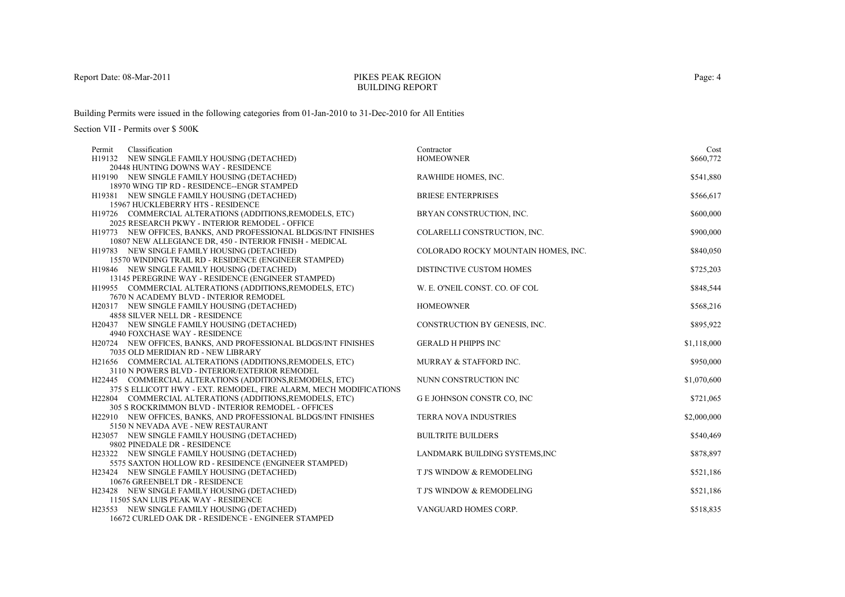## PIKES PEAK REGIONBUILDING REPORT

Building Permits were issued in the following categories from 01-Jan-2010 to 31-Dec-2010 for All Entities

| Classification<br>Permit                                          | Contractor                          | Cost        |
|-------------------------------------------------------------------|-------------------------------------|-------------|
| H19132 NEW SINGLE FAMILY HOUSING (DETACHED)                       | <b>HOMEOWNER</b>                    | \$660,772   |
| 20448 HUNTING DOWNS WAY - RESIDENCE                               |                                     |             |
| H19190 NEW SINGLE FAMILY HOUSING (DETACHED)                       | RAWHIDE HOMES, INC.                 | \$541,880   |
| 18970 WING TIP RD - RESIDENCE--ENGR STAMPED                       |                                     |             |
| H19381 NEW SINGLE FAMILY HOUSING (DETACHED)                       | <b>BRIESE ENTERPRISES</b>           | \$566,617   |
| 15967 HUCKLEBERRY HTS - RESIDENCE                                 |                                     |             |
| H19726 COMMERCIAL ALTERATIONS (ADDITIONS, REMODELS, ETC)          | BRYAN CONSTRUCTION, INC.            | \$600,000   |
| 2025 RESEARCH PKWY - INTERIOR REMODEL - OFFICE                    |                                     |             |
| H19773 NEW OFFICES, BANKS, AND PROFESSIONAL BLDGS/INT FINISHES    | COLARELLI CONSTRUCTION, INC.        | \$900,000   |
| 10807 NEW ALLEGIANCE DR, 450 - INTERIOR FINISH - MEDICAL          |                                     |             |
| H19783 NEW SINGLE FAMILY HOUSING (DETACHED)                       | COLORADO ROCKY MOUNTAIN HOMES, INC. | \$840,050   |
| 15570 WINDING TRAIL RD - RESIDENCE (ENGINEER STAMPED)             |                                     |             |
| H19846 NEW SINGLE FAMILY HOUSING (DETACHED)                       | DISTINCTIVE CUSTOM HOMES            | \$725,203   |
| 13145 PEREGRINE WAY - RESIDENCE (ENGINEER STAMPED)                |                                     |             |
| H19955 COMMERCIAL ALTERATIONS (ADDITIONS, REMODELS, ETC)          | W. E. O'NEIL CONST. CO. OF COL      | \$848,544   |
| 7670 N ACADEMY BLVD - INTERIOR REMODEL                            |                                     |             |
| H20317 NEW SINGLE FAMILY HOUSING (DETACHED)                       | <b>HOMEOWNER</b>                    | \$568,216   |
| 4858 SILVER NELL DR - RESIDENCE                                   |                                     |             |
| H20437 NEW SINGLE FAMILY HOUSING (DETACHED)                       | CONSTRUCTION BY GENESIS, INC.       | \$895,922   |
| 4940 FOXCHASE WAY - RESIDENCE                                     |                                     |             |
| H20724 NEW OFFICES, BANKS, AND PROFESSIONAL BLDGS/INT FINISHES    | <b>GERALD H PHIPPS INC</b>          | \$1,118,000 |
| 7035 OLD MERIDIAN RD - NEW LIBRARY                                |                                     |             |
| H21656 COMMERCIAL ALTERATIONS (ADDITIONS, REMODELS, ETC)          | MURRAY & STAFFORD INC.              | \$950,000   |
| 3110 N POWERS BLVD - INTERIOR/EXTERIOR REMODEL                    |                                     |             |
| H22445 COMMERCIAL ALTERATIONS (ADDITIONS, REMODELS, ETC)          | NUNN CONSTRUCTION INC               | \$1,070,600 |
| 375 S ELLICOTT HWY - EXT. REMODEL, FIRE ALARM, MECH MODIFICATIONS |                                     |             |
| H22804 COMMERCIAL ALTERATIONS (ADDITIONS, REMODELS, ETC)          | <b>GE JOHNSON CONSTR CO, INC</b>    | \$721,065   |
| 305 S ROCKRIMMON BLVD - INTERIOR REMODEL - OFFICES                |                                     |             |
| H22910 NEW OFFICES, BANKS, AND PROFESSIONAL BLDGS/INT FINISHES    | <b>TERRA NOVA INDUSTRIES</b>        | \$2,000,000 |
| 5150 N NEVADA AVE - NEW RESTAURANT                                |                                     |             |
| H23057 NEW SINGLE FAMILY HOUSING (DETACHED)                       | <b>BUILTRITE BUILDERS</b>           | \$540,469   |
| 9802 PINEDALE DR - RESIDENCE                                      |                                     |             |
| H23322 NEW SINGLE FAMILY HOUSING (DETACHED)                       | LANDMARK BUILDING SYSTEMS, INC      | \$878,897   |
| 5575 SAXTON HOLLOW RD - RESIDENCE (ENGINEER STAMPED)              |                                     |             |
| H23424 NEW SINGLE FAMILY HOUSING (DETACHED)                       | T J'S WINDOW & REMODELING           | \$521,186   |
| 10676 GREENBELT DR - RESIDENCE                                    |                                     |             |
| H23428 NEW SINGLE FAMILY HOUSING (DETACHED)                       | T J'S WINDOW & REMODELING           | \$521,186   |
| 11505 SAN LUIS PEAK WAY - RESIDENCE                               |                                     |             |
| H23553 NEW SINGLE FAMILY HOUSING (DETACHED)                       | VANGUARD HOMES CORP.                | \$518,835   |
| 16672 CURLED OAK DR - RESIDENCE - ENGINEER STAMPED                |                                     |             |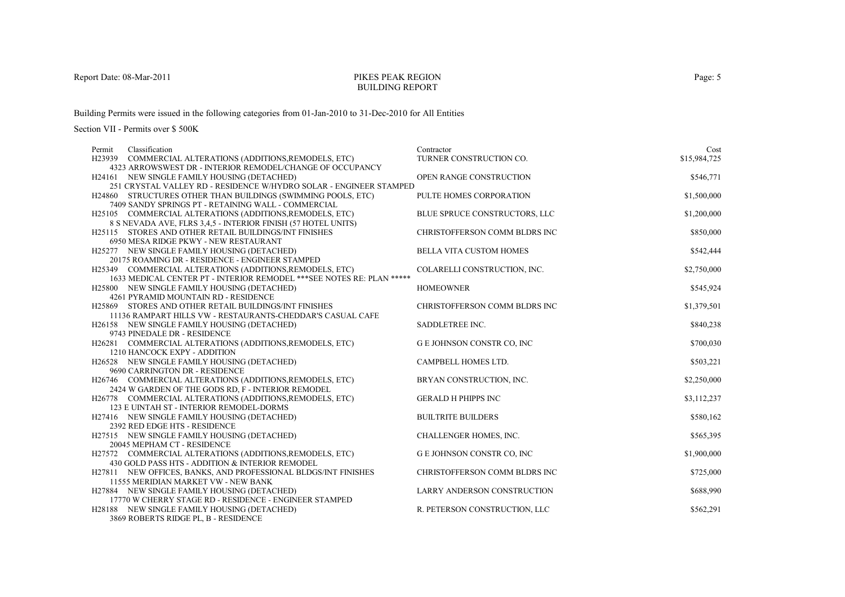#### PIKES PEAK REGIONBUILDING REPORT

Building Permits were issued in the following categories from 01-Jan-2010 to 31-Dec-2010 for All Entities

| Classification<br>Permit                                                                                               | Contractor                         | Cost         |
|------------------------------------------------------------------------------------------------------------------------|------------------------------------|--------------|
| H23939 COMMERCIAL ALTERATIONS (ADDITIONS, REMODELS, ETC)                                                               | TURNER CONSTRUCTION CO.            | \$15,984,725 |
| 4323 ARROWSWEST DR - INTERIOR REMODEL/CHANGE OF OCCUPANCY                                                              |                                    |              |
| H24161 NEW SINGLE FAMILY HOUSING (DETACHED)                                                                            | OPEN RANGE CONSTRUCTION            | \$546,771    |
| 251 CRYSTAL VALLEY RD - RESIDENCE W/HYDRO SOLAR - ENGINEER STAMPED                                                     |                                    |              |
| H24860 STRUCTURES OTHER THAN BUILDINGS (SWIMMING POOLS, ETC)                                                           | PULTE HOMES CORPORATION            | \$1,500,000  |
| 7409 SANDY SPRINGS PT - RETAINING WALL - COMMERCIAL                                                                    |                                    |              |
| H25105 COMMERCIAL ALTERATIONS (ADDITIONS, REMODELS, ETC)                                                               | BLUE SPRUCE CONSTRUCTORS, LLC      | \$1,200,000  |
| 8 S NEVADA AVE, FLRS 3,4,5 - INTERIOR FINISH (57 HOTEL UNITS)<br>H25115 STORES AND OTHER RETAIL BUILDINGS/INT FINISHES | CHRISTOFFERSON COMM BLDRS INC      |              |
| 6950 MESA RIDGE PKWY - NEW RESTAURANT                                                                                  |                                    | \$850,000    |
| H25277 NEW SINGLE FAMILY HOUSING (DETACHED)                                                                            | <b>BELLA VITA CUSTOM HOMES</b>     | \$542,444    |
| 20175 ROAMING DR - RESIDENCE - ENGINEER STAMPED                                                                        |                                    |              |
| H25349 COMMERCIAL ALTERATIONS (ADDITIONS, REMODELS, ETC)                                                               | COLARELLI CONSTRUCTION, INC.       | \$2,750,000  |
| 1633 MEDICAL CENTER PT - INTERIOR REMODEL *** SEE NOTES RE: PLAN *****                                                 |                                    |              |
| H25800 NEW SINGLE FAMILY HOUSING (DETACHED)                                                                            | <b>HOMEOWNER</b>                   | \$545,924    |
| 4261 PYRAMID MOUNTAIN RD - RESIDENCE                                                                                   |                                    |              |
| H25869 STORES AND OTHER RETAIL BUILDINGS/INT FINISHES                                                                  | CHRISTOFFERSON COMM BLDRS INC      | \$1,379,501  |
| 11136 RAMPART HILLS VW - RESTAURANTS-CHEDDAR'S CASUAL CAFE                                                             |                                    |              |
| H26158 NEW SINGLE FAMILY HOUSING (DETACHED)                                                                            | SADDLETREE INC.                    | \$840,238    |
| 9743 PINEDALE DR - RESIDENCE                                                                                           |                                    |              |
| H26281 COMMERCIAL ALTERATIONS (ADDITIONS, REMODELS, ETC)                                                               | G E JOHNSON CONSTR CO, INC         | \$700,030    |
| 1210 HANCOCK EXPY - ADDITION                                                                                           |                                    |              |
| H26528 NEW SINGLE FAMILY HOUSING (DETACHED)                                                                            | CAMPBELL HOMES LTD.                | \$503,221    |
| 9690 CARRINGTON DR - RESIDENCE                                                                                         |                                    |              |
| H26746 COMMERCIAL ALTERATIONS (ADDITIONS, REMODELS, ETC)                                                               | BRYAN CONSTRUCTION, INC.           | \$2,250,000  |
| 2424 W GARDEN OF THE GODS RD, F - INTERIOR REMODEL                                                                     |                                    |              |
| H26778 COMMERCIAL ALTERATIONS (ADDITIONS, REMODELS, ETC)                                                               | <b>GERALD H PHIPPS INC</b>         | \$3,112,237  |
| 123 E UINTAH ST - INTERIOR REMODEL-DORMS                                                                               |                                    |              |
| H27416 NEW SINGLE FAMILY HOUSING (DETACHED)                                                                            | <b>BUILTRITE BUILDERS</b>          | \$580,162    |
| 2392 RED EDGE HTS - RESIDENCE                                                                                          | CHALLENGER HOMES, INC.             | \$565,395    |
| H27515 NEW SINGLE FAMILY HOUSING (DETACHED)<br>20045 MEPHAM CT - RESIDENCE                                             |                                    |              |
| H27572 COMMERCIAL ALTERATIONS (ADDITIONS, REMODELS, ETC)                                                               | <b>GE JOHNSON CONSTR CO, INC</b>   | \$1,900,000  |
| 430 GOLD PASS HTS - ADDITION & INTERIOR REMODEL                                                                        |                                    |              |
| H27811 NEW OFFICES, BANKS, AND PROFESSIONAL BLDGS/INT FINISHES                                                         | CHRISTOFFERSON COMM BLDRS INC      | \$725,000    |
| 11555 MERIDIAN MARKET VW - NEW BANK                                                                                    |                                    |              |
| H27884 NEW SINGLE FAMILY HOUSING (DETACHED)                                                                            | <b>LARRY ANDERSON CONSTRUCTION</b> | \$688,990    |
| 17770 W CHERRY STAGE RD - RESIDENCE - ENGINEER STAMPED                                                                 |                                    |              |
| H28188 NEW SINGLE FAMILY HOUSING (DETACHED)                                                                            | R. PETERSON CONSTRUCTION, LLC      | \$562,291    |
| 3869 ROBERTS RIDGE PL, B - RESIDENCE                                                                                   |                                    |              |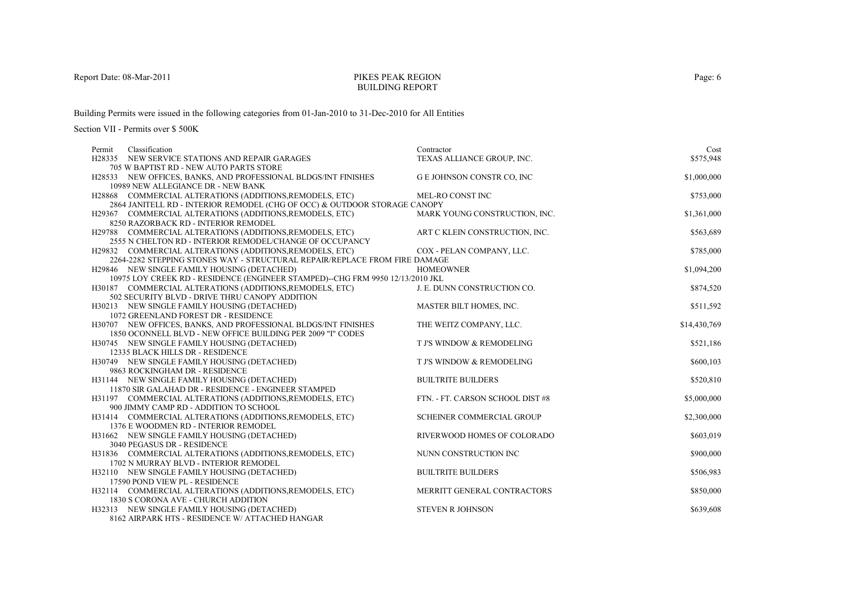#### PIKES PEAK REGIONBUILDING REPORT

Building Permits were issued in the following categories from 01-Jan-2010 to 31-Dec-2010 for All Entities

| Classification<br>Permit                                                             | Contractor                       | Cost         |
|--------------------------------------------------------------------------------------|----------------------------------|--------------|
| H28335 NEW SERVICE STATIONS AND REPAIR GARAGES                                       | TEXAS ALLIANCE GROUP, INC.       | \$575,948    |
| 705 W BAPTIST RD - NEW AUTO PARTS STORE                                              |                                  |              |
| H28533 NEW OFFICES, BANKS, AND PROFESSIONAL BLDGS/INT FINISHES                       | <b>GE JOHNSON CONSTR CO, INC</b> | \$1,000,000  |
| 10989 NEW ALLEGIANCE DR - NEW BANK                                                   |                                  |              |
| H28868 COMMERCIAL ALTERATIONS (ADDITIONS, REMODELS, ETC)                             | MEL-RO CONST INC                 | \$753,000    |
| 2864 JANITELL RD - INTERIOR REMODEL (CHG OF OCC) & OUTDOOR STORAGE CANOPY            |                                  |              |
| H29367 COMMERCIAL ALTERATIONS (ADDITIONS, REMODELS, ETC)                             | MARK YOUNG CONSTRUCTION, INC.    | \$1,361,000  |
| 8250 RAZORBACK RD - INTERIOR REMODEL                                                 |                                  |              |
| H29788 COMMERCIAL ALTERATIONS (ADDITIONS, REMODELS, ETC)                             | ART C KLEIN CONSTRUCTION, INC.   | \$563,689    |
| 2555 N CHELTON RD - INTERIOR REMODEL/CHANGE OF OCCUPANCY                             |                                  |              |
| H29832 COMMERCIAL ALTERATIONS (ADDITIONS, REMODELS, ETC)                             | COX - PELAN COMPANY, LLC.        | \$785,000    |
| 2264-2282 STEPPING STONES WAY - STRUCTURAL REPAIR/REPLACE FROM FIRE DAMAGE           |                                  |              |
| H29846 NEW SINGLE FAMILY HOUSING (DETACHED)                                          | <b>HOMEOWNER</b>                 | \$1,094,200  |
| 10975 LOY CREEK RD - RESIDENCE (ENGINEER STAMPED)--CHG FRM 9950 12/13/2010 JKL       |                                  |              |
| H30187 COMMERCIAL ALTERATIONS (ADDITIONS, REMODELS, ETC)                             | J. E. DUNN CONSTRUCTION CO.      | \$874,520    |
| 502 SECURITY BLVD - DRIVE THRU CANOPY ADDITION                                       |                                  |              |
| H30213 NEW SINGLE FAMILY HOUSING (DETACHED)                                          | MASTER BILT HOMES, INC.          | \$511,592    |
| 1072 GREENLAND FOREST DR - RESIDENCE                                                 |                                  |              |
| H30707 NEW OFFICES, BANKS, AND PROFESSIONAL BLDGS/INT FINISHES                       | THE WEITZ COMPANY, LLC.          | \$14,430,769 |
| 1850 OCONNELL BLVD - NEW OFFICE BUILDING PER 2009 "I" CODES                          |                                  |              |
| H30745 NEW SINGLE FAMILY HOUSING (DETACHED)                                          | T J'S WINDOW & REMODELING        | \$521,186    |
| 12335 BLACK HILLS DR - RESIDENCE                                                     |                                  |              |
| H30749 NEW SINGLE FAMILY HOUSING (DETACHED)                                          | T J'S WINDOW & REMODELING        | \$600,103    |
| 9863 ROCKINGHAM DR - RESIDENCE                                                       |                                  |              |
| H31144 NEW SINGLE FAMILY HOUSING (DETACHED)                                          | <b>BUILTRITE BUILDERS</b>        | \$520,810    |
| 11870 SIR GALAHAD DR - RESIDENCE - ENGINEER STAMPED                                  |                                  |              |
| H31197 COMMERCIAL ALTERATIONS (ADDITIONS, REMODELS, ETC)                             | FTN. - FT. CARSON SCHOOL DIST #8 | \$5,000,000  |
| 900 JIMMY CAMP RD - ADDITION TO SCHOOL                                               |                                  |              |
| H31414 COMMERCIAL ALTERATIONS (ADDITIONS, REMODELS, ETC)                             | <b>SCHEINER COMMERCIAL GROUP</b> | \$2,300,000  |
| 1376 E WOODMEN RD - INTERIOR REMODEL                                                 | RIVERWOOD HOMES OF COLORADO      |              |
| H31662 NEW SINGLE FAMILY HOUSING (DETACHED)<br>3040 PEGASUS DR - RESIDENCE           |                                  | \$603,019    |
|                                                                                      | NUNN CONSTRUCTION INC            | \$900,000    |
| H31836 COMMERCIAL ALTERATIONS (ADDITIONS, REMODELS, ETC)                             |                                  |              |
| 1702 N MURRAY BLVD - INTERIOR REMODEL<br>H32110 NEW SINGLE FAMILY HOUSING (DETACHED) | <b>BUILTRITE BUILDERS</b>        | \$506,983    |
| 17590 POND VIEW PL - RESIDENCE                                                       |                                  |              |
| H32114 COMMERCIAL ALTERATIONS (ADDITIONS, REMODELS, ETC)                             | MERRITT GENERAL CONTRACTORS      | \$850,000    |
| 1830 S CORONA AVE - CHURCH ADDITION                                                  |                                  |              |
| H32313 NEW SINGLE FAMILY HOUSING (DETACHED)                                          | <b>STEVEN R JOHNSON</b>          | \$639,608    |
| 8162 AIRPARK HTS - RESIDENCE W/ ATTACHED HANGAR                                      |                                  |              |
|                                                                                      |                                  |              |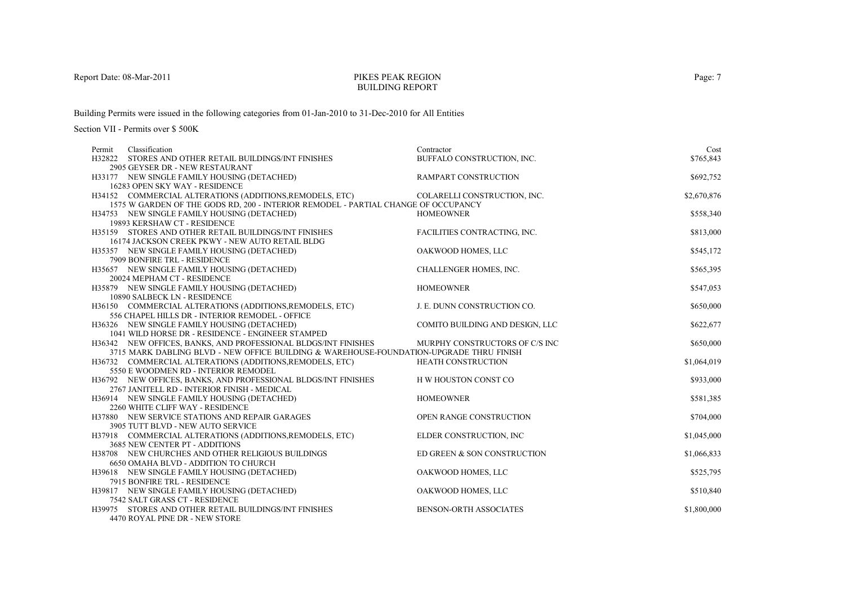### PIKES PEAK REGIONBUILDING REPORT

Building Permits were issued in the following categories from 01-Jan-2010 to 31-Dec-2010 for All Entities

| Permit | Classification                                                                          | Contractor                      | Cost        |
|--------|-----------------------------------------------------------------------------------------|---------------------------------|-------------|
|        | H32822 STORES AND OTHER RETAIL BUILDINGS/INT FINISHES                                   | BUFFALO CONSTRUCTION, INC.      | \$765,843   |
|        | 2905 GEYSER DR - NEW RESTAURANT                                                         |                                 |             |
|        | H33177 NEW SINGLE FAMILY HOUSING (DETACHED)                                             | <b>RAMPART CONSTRUCTION</b>     | \$692,752   |
|        | 16283 OPEN SKY WAY - RESIDENCE                                                          |                                 |             |
|        | H34152 COMMERCIAL ALTERATIONS (ADDITIONS, REMODELS, ETC)                                | COLARELLI CONSTRUCTION, INC.    | \$2,670,876 |
|        | 1575 W GARDEN OF THE GODS RD, 200 - INTERIOR REMODEL - PARTIAL CHANGE OF OCCUPANCY      |                                 |             |
|        | H34753 NEW SINGLE FAMILY HOUSING (DETACHED)                                             | <b>HOMEOWNER</b>                | \$558,340   |
|        | 19893 KERSHAW CT - RESIDENCE                                                            |                                 |             |
|        | H35159 STORES AND OTHER RETAIL BUILDINGS/INT FINISHES                                   | FACILITIES CONTRACTING, INC.    | \$813,000   |
|        | 16174 JACKSON CREEK PKWY - NEW AUTO RETAIL BLDG                                         |                                 |             |
|        | H35357 NEW SINGLE FAMILY HOUSING (DETACHED)                                             | OAKWOOD HOMES, LLC              | \$545,172   |
|        | 7909 BONFIRE TRL - RESIDENCE                                                            |                                 |             |
|        | H35657 NEW SINGLE FAMILY HOUSING (DETACHED)                                             | <b>CHALLENGER HOMES, INC.</b>   | \$565,395   |
|        | 20024 MEPHAM CT - RESIDENCE                                                             |                                 |             |
|        | H35879 NEW SINGLE FAMILY HOUSING (DETACHED)                                             | <b>HOMEOWNER</b>                | \$547,053   |
|        | 10890 SALBECK LN - RESIDENCE                                                            |                                 |             |
|        | H36150 COMMERCIAL ALTERATIONS (ADDITIONS, REMODELS, ETC)                                | J. E. DUNN CONSTRUCTION CO.     | \$650,000   |
|        | 556 CHAPEL HILLS DR - INTERIOR REMODEL - OFFICE                                         |                                 |             |
|        | H36326 NEW SINGLE FAMILY HOUSING (DETACHED)                                             | COMITO BUILDING AND DESIGN, LLC | \$622,677   |
|        | 1041 WILD HORSE DR - RESIDENCE - ENGINEER STAMPED                                       |                                 |             |
|        | H36342 NEW OFFICES, BANKS, AND PROFESSIONAL BLDGS/INT FINISHES                          | MURPHY CONSTRUCTORS OF C/S INC  | \$650,000   |
|        | 3715 MARK DABLING BLVD - NEW OFFICE BUILDING & WAREHOUSE-FOUNDATION-UPGRADE THRU FINISH |                                 |             |
|        | H36732 COMMERCIAL ALTERATIONS (ADDITIONS, REMODELS, ETC)                                | HEATH CONSTRUCTION              | \$1,064,019 |
|        | 5550 E WOODMEN RD - INTERIOR REMODEL                                                    |                                 |             |
|        | H36792 NEW OFFICES, BANKS, AND PROFESSIONAL BLDGS/INT FINISHES                          | H W HOUSTON CONST CO            | \$933,000   |
|        | 2767 JANITELL RD - INTERIOR FINISH - MEDICAL                                            |                                 |             |
|        | H36914 NEW SINGLE FAMILY HOUSING (DETACHED)                                             | <b>HOMEOWNER</b>                | \$581,385   |
|        | 2260 WHITE CLIFF WAY - RESIDENCE                                                        |                                 |             |
|        | H37880 NEW SERVICE STATIONS AND REPAIR GARAGES                                          | OPEN RANGE CONSTRUCTION         | \$704,000   |
|        | 3905 TUTT BLVD - NEW AUTO SERVICE                                                       |                                 |             |
|        | H37918 COMMERCIAL ALTERATIONS (ADDITIONS, REMODELS, ETC)                                | ELDER CONSTRUCTION, INC         | \$1,045,000 |
|        | 3685 NEW CENTER PT - ADDITIONS                                                          |                                 |             |
|        | H38708 NEW CHURCHES AND OTHER RELIGIOUS BUILDINGS                                       | ED GREEN & SON CONSTRUCTION     | \$1,066,833 |
|        | 6650 OMAHA BLVD - ADDITION TO CHURCH                                                    |                                 |             |
|        | H39618 NEW SINGLE FAMILY HOUSING (DETACHED)                                             | OAKWOOD HOMES, LLC              | \$525,795   |
|        | 7915 BONFIRE TRL - RESIDENCE                                                            |                                 |             |
|        | H39817 NEW SINGLE FAMILY HOUSING (DETACHED)                                             | OAKWOOD HOMES, LLC              | \$510,840   |
|        | 7542 SALT GRASS CT - RESIDENCE<br>H39975 STORES AND OTHER RETAIL BUILDINGS/INT FINISHES | <b>BENSON-ORTH ASSOCIATES</b>   |             |
|        | 4470 ROYAL PINE DR - NEW STORE                                                          |                                 | \$1,800,000 |
|        |                                                                                         |                                 |             |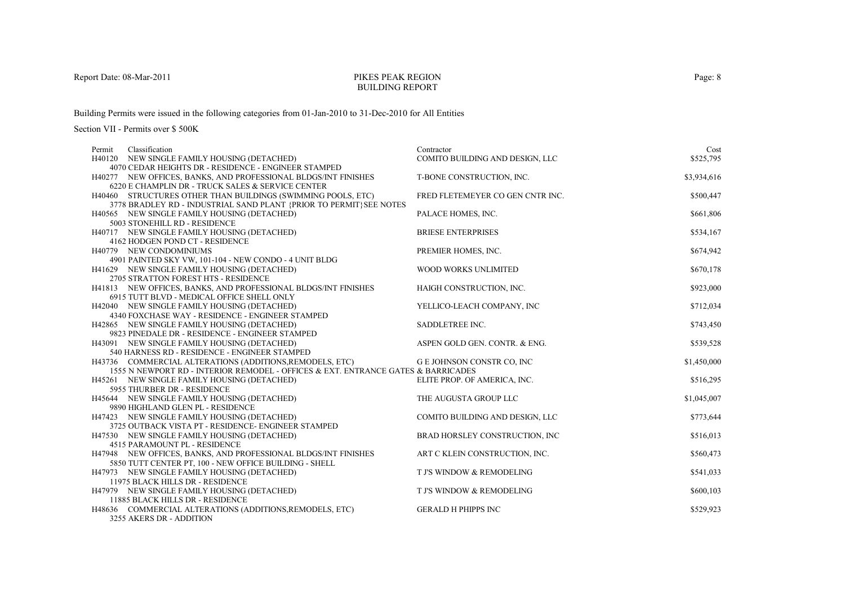## PIKES PEAK REGIONBUILDING REPORT

Building Permits were issued in the following categories from 01-Jan-2010 to 31-Dec-2010 for All Entities

| Classification<br>Permit                                                          | Contractor                       | Cost        |
|-----------------------------------------------------------------------------------|----------------------------------|-------------|
| H40120 NEW SINGLE FAMILY HOUSING (DETACHED)                                       | COMITO BUILDING AND DESIGN, LLC  | \$525,795   |
| 4070 CEDAR HEIGHTS DR - RESIDENCE - ENGINEER STAMPED                              |                                  |             |
| H40277 NEW OFFICES, BANKS, AND PROFESSIONAL BLDGS/INT FINISHES                    | T-BONE CONSTRUCTION, INC.        | \$3,934,616 |
| 6220 E CHAMPLIN DR - TRUCK SALES & SERVICE CENTER                                 |                                  |             |
| H40460 STRUCTURES OTHER THAN BUILDINGS (SWIMMING POOLS, ETC)                      | FRED FLETEMEYER CO GEN CNTR INC. | \$500,447   |
| 3778 BRADLEY RD - INDUSTRIAL SAND PLANT {PRIOR TO PERMIT}SEE NOTES                |                                  |             |
| H40565 NEW SINGLE FAMILY HOUSING (DETACHED)                                       | PALACE HOMES, INC.               | \$661,806   |
| 5003 STONEHILL RD - RESIDENCE                                                     |                                  |             |
| H40717 NEW SINGLE FAMILY HOUSING (DETACHED)                                       | <b>BRIESE ENTERPRISES</b>        | \$534,167   |
| 4162 HODGEN POND CT - RESIDENCE                                                   |                                  |             |
| H40779 NEW CONDOMINIUMS                                                           | PREMIER HOMES, INC.              | \$674,942   |
| 4901 PAINTED SKY VW, 101-104 - NEW CONDO - 4 UNIT BLDG                            |                                  |             |
| H41629 NEW SINGLE FAMILY HOUSING (DETACHED)                                       | WOOD WORKS UNLIMITED             | \$670,178   |
| 2705 STRATTON FOREST HTS - RESIDENCE                                              |                                  |             |
| H41813 NEW OFFICES, BANKS, AND PROFESSIONAL BLDGS/INT FINISHES                    | HAIGH CONSTRUCTION, INC.         | \$923,000   |
| 6915 TUTT BLVD - MEDICAL OFFICE SHELL ONLY                                        |                                  |             |
| H42040 NEW SINGLE FAMILY HOUSING (DETACHED)                                       | YELLICO-LEACH COMPANY, INC       | \$712,034   |
| 4340 FOXCHASE WAY - RESIDENCE - ENGINEER STAMPED                                  |                                  |             |
| H42865 NEW SINGLE FAMILY HOUSING (DETACHED)                                       | SADDLETREE INC.                  | \$743,450   |
| 9823 PINEDALE DR - RESIDENCE - ENGINEER STAMPED                                   |                                  |             |
| H43091 NEW SINGLE FAMILY HOUSING (DETACHED)                                       | ASPEN GOLD GEN. CONTR. & ENG.    | \$539,528   |
| 540 HARNESS RD - RESIDENCE - ENGINEER STAMPED                                     |                                  |             |
| H43736 COMMERCIAL ALTERATIONS (ADDITIONS, REMODELS, ETC)                          | G E JOHNSON CONSTR CO, INC       | \$1,450,000 |
| 1555 N NEWPORT RD - INTERIOR REMODEL - OFFICES & EXT. ENTRANCE GATES & BARRICADES |                                  |             |
| H45261 NEW SINGLE FAMILY HOUSING (DETACHED)                                       | ELITE PROP. OF AMERICA, INC.     | \$516,295   |
| 5955 THURBER DR - RESIDENCE                                                       |                                  |             |
| H45644 NEW SINGLE FAMILY HOUSING (DETACHED)                                       | THE AUGUSTA GROUP LLC            | \$1,045,007 |
| 9890 HIGHLAND GLEN PL - RESIDENCE                                                 |                                  |             |
| H47423 NEW SINGLE FAMILY HOUSING (DETACHED)                                       | COMITO BUILDING AND DESIGN, LLC  | \$773,644   |
| 3725 OUTBACK VISTA PT - RESIDENCE- ENGINEER STAMPED                               |                                  |             |
| H47530 NEW SINGLE FAMILY HOUSING (DETACHED)                                       | BRAD HORSLEY CONSTRUCTION, INC   | \$516,013   |
| 4515 PARAMOUNT PL - RESIDENCE                                                     |                                  |             |
| H47948 NEW OFFICES, BANKS, AND PROFESSIONAL BLDGS/INT FINISHES                    | ART C KLEIN CONSTRUCTION, INC.   | \$560,473   |
| 5850 TUTT CENTER PT, 100 - NEW OFFICE BUILDING - SHELL                            |                                  |             |
| H47973 NEW SINGLE FAMILY HOUSING (DETACHED)                                       | T J'S WINDOW & REMODELING        | \$541,033   |
| 11975 BLACK HILLS DR - RESIDENCE                                                  |                                  |             |
| H47979 NEW SINGLE FAMILY HOUSING (DETACHED)                                       | T J'S WINDOW & REMODELING        | \$600,103   |
| 11885 BLACK HILLS DR - RESIDENCE                                                  |                                  |             |
| H48636 COMMERCIAL ALTERATIONS (ADDITIONS, REMODELS, ETC)                          | <b>GERALD H PHIPPS INC</b>       | \$529,923   |
| 3255 AKERS DR - ADDITION                                                          |                                  |             |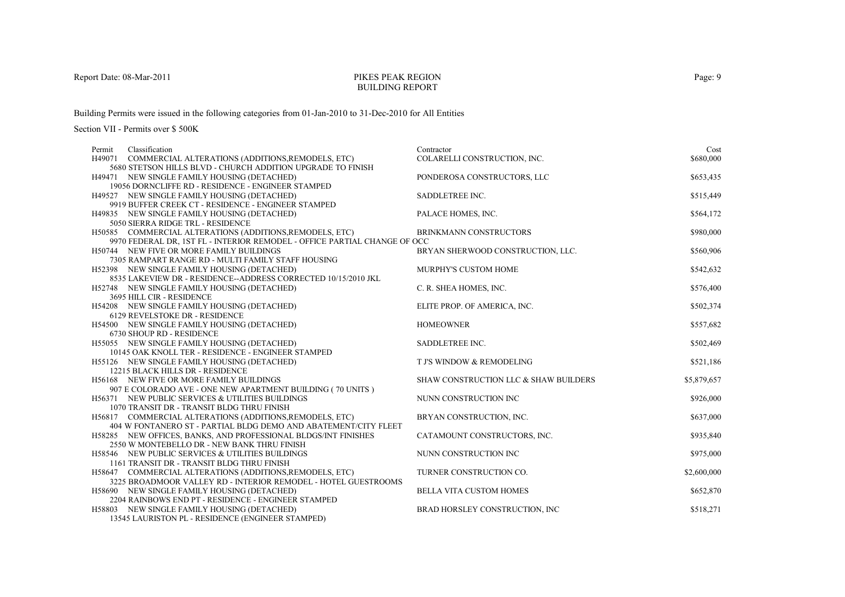### PIKES PEAK REGIONBUILDING REPORT

Building Permits were issued in the following categories from 01-Jan-2010 to 31-Dec-2010 for All Entities

| Classification<br>Permit                                                                                                   | Contractor                            | Cost        |
|----------------------------------------------------------------------------------------------------------------------------|---------------------------------------|-------------|
| H49071 COMMERCIAL ALTERATIONS (ADDITIONS, REMODELS, ETC)                                                                   | COLARELLI CONSTRUCTION, INC.          | \$680,000   |
| 5680 STETSON HILLS BLVD - CHURCH ADDITION UPGRADE TO FINISH                                                                |                                       |             |
| H49471 NEW SINGLE FAMILY HOUSING (DETACHED)                                                                                | PONDEROSA CONSTRUCTORS, LLC           | \$653,435   |
| 19056 DORNCLIFFE RD - RESIDENCE - ENGINEER STAMPED                                                                         |                                       |             |
| H49527 NEW SINGLE FAMILY HOUSING (DETACHED)                                                                                | SADDLETREE INC.                       | \$515,449   |
| 9919 BUFFER CREEK CT - RESIDENCE - ENGINEER STAMPED                                                                        |                                       |             |
| H49835 NEW SINGLE FAMILY HOUSING (DETACHED)                                                                                | PALACE HOMES, INC.                    | \$564,172   |
| 5050 SIERRA RIDGE TRL - RESIDENCE                                                                                          |                                       |             |
| H50585 COMMERCIAL ALTERATIONS (ADDITIONS, REMODELS, ETC)                                                                   | BRINKMANN CONSTRUCTORS                | \$980,000   |
| 9970 FEDERAL DR, 1ST FL - INTERIOR REMODEL - OFFICE PARTIAL CHANGE OF OCC                                                  |                                       |             |
| H50744 NEW FIVE OR MORE FAMILY BUILDINGS                                                                                   | BRYAN SHERWOOD CONSTRUCTION, LLC.     | \$560,906   |
| 7305 RAMPART RANGE RD - MULTI FAMILY STAFF HOUSING                                                                         |                                       |             |
| H52398 NEW SINGLE FAMILY HOUSING (DETACHED)                                                                                | MURPHY'S CUSTOM HOME                  | \$542,632   |
| 8535 LAKEVIEW DR - RESIDENCE--ADDRESS CORRECTED 10/15/2010 JKL                                                             |                                       |             |
| H52748 NEW SINGLE FAMILY HOUSING (DETACHED)                                                                                | C. R. SHEA HOMES, INC.                | \$576,400   |
| 3695 HILL CIR - RESIDENCE                                                                                                  |                                       |             |
| H54208 NEW SINGLE FAMILY HOUSING (DETACHED)                                                                                | ELITE PROP. OF AMERICA, INC.          | \$502,374   |
| <b>6129 REVELSTOKE DR - RESIDENCE</b>                                                                                      |                                       |             |
| H54500 NEW SINGLE FAMILY HOUSING (DETACHED)                                                                                | <b>HOMEOWNER</b>                      | \$557,682   |
| 6730 SHOUP RD - RESIDENCE                                                                                                  |                                       |             |
| H55055 NEW SINGLE FAMILY HOUSING (DETACHED)                                                                                | SADDLETREE INC.                       | \$502,469   |
| 10145 OAK KNOLL TER - RESIDENCE - ENGINEER STAMPED                                                                         |                                       |             |
| H55126 NEW SINGLE FAMILY HOUSING (DETACHED)                                                                                | T J'S WINDOW & REMODELING             | \$521,186   |
| 12215 BLACK HILLS DR - RESIDENCE                                                                                           |                                       |             |
| H56168 NEW FIVE OR MORE FAMILY BUILDINGS                                                                                   | SHAW CONSTRUCTION LLC & SHAW BUILDERS | \$5,879,657 |
| 907 E COLORADO AVE - ONE NEW APARTMENT BUILDING (70 UNITS)                                                                 |                                       |             |
| H56371 NEW PUBLIC SERVICES & UTILITIES BUILDINGS                                                                           | NUNN CONSTRUCTION INC                 | \$926,000   |
| 1070 TRANSIT DR - TRANSIT BLDG THRU FINISH                                                                                 |                                       |             |
| H56817 COMMERCIAL ALTERATIONS (ADDITIONS, REMODELS, ETC)                                                                   | BRYAN CONSTRUCTION, INC.              | \$637,000   |
| 404 W FONTANERO ST - PARTIAL BLDG DEMO AND ABATEMENT/CITY FLEET                                                            |                                       |             |
| H58285 NEW OFFICES, BANKS, AND PROFESSIONAL BLDGS/INT FINISHES                                                             | CATAMOUNT CONSTRUCTORS, INC.          | \$935,840   |
| 2550 W MONTEBELLO DR - NEW BANK THRU FINISH                                                                                |                                       |             |
| H58546 NEW PUBLIC SERVICES & UTILITIES BUILDINGS                                                                           | NUNN CONSTRUCTION INC                 | \$975,000   |
| 1161 TRANSIT DR - TRANSIT BLDG THRU FINISH                                                                                 | TURNER CONSTRUCTION CO.               | \$2,600,000 |
| H58647 COMMERCIAL ALTERATIONS (ADDITIONS, REMODELS, ETC)<br>3225 BROADMOOR VALLEY RD - INTERIOR REMODEL - HOTEL GUESTROOMS |                                       |             |
| H58690 NEW SINGLE FAMILY HOUSING (DETACHED)                                                                                | <b>BELLA VITA CUSTOM HOMES</b>        |             |
| 2204 RAINBOWS END PT - RESIDENCE - ENGINEER STAMPED                                                                        |                                       | \$652,870   |
| H58803 NEW SINGLE FAMILY HOUSING (DETACHED)                                                                                | BRAD HORSLEY CONSTRUCTION, INC        | \$518,271   |
| 13545 LAURISTON PL - RESIDENCE (ENGINEER STAMPED)                                                                          |                                       |             |
|                                                                                                                            |                                       |             |